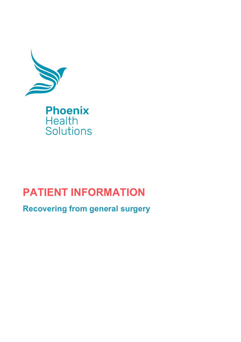

# **PATIENT INFORMATION**

**Recovering from general surgery**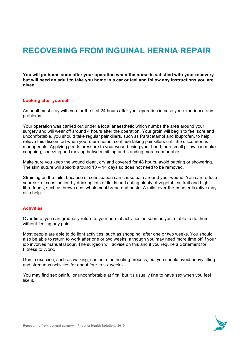# **RECOVERING FROM INGUINAL HERNIA REPAIR**

**You will go home soon after your operation when the nurse is satisfied with your recovery but will need an adult to take you home in a car or taxi and follow any instructions you are given.**

### **Looking after yourself**

An adult must stay with you for the first 24 hours after your operation in case you experience any problems.

Your operation was carried out under a local anaesthetic which numbs the area around your surgery and will wear off around 4 hours after the operation. Your groin will begin to feel sore and uncomfortable, you should take regular painkillers, such as Paracetamol and Ibuprofen, to help relieve this discomfort when you return home, continue taking painkillers until the discomfort is manageable. Applying gentle pressure to your wound using your hand, or a small pillow can make coughing, sneezing and moving between sitting and standing more comfortable.

Make sure you keep the wound clean, dry and covered for 48 hours, avoid bathing or showering. The skin suture will absorb around  $10 - 14$  days so does not need to be removed.

Straining on the toilet because of constipation can cause pain around your wound. You can reduce your risk of constipation by drinking lots of fluids and eating plenty of vegetables, fruit and highfibre foods, such as brown rice, wholemeal bread and pasta. A mild, over-the-counter laxative may also help.

### **Activities**

Over time, you can gradually return to your normal activities as soon as you're able to do them without feeling any pain.

Most people are able to do light activities, such as shopping, after one or two weeks. You should also be able to return to work after one or two weeks, although you may need more time off if your job involves manual labour. The surgeon will advise on this and if you require a Statement for Fitness to Work.

Gentle exercise, such as walking, can help the healing process, but you should avoid heavy lifting and strenuous activities for about four to six weeks.

You may find sex painful or uncomfortable at first, but it's usually fine to have sex when you feel like it.

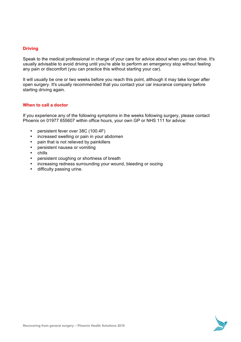## **Driving**

Speak to the medical professional in charge of your care for advice about when you can drive. It's usually advisable to avoid driving until you're able to perform an emergency stop without feeling any pain or discomfort (you can practice this without starting your car).

It will usually be one or two weeks before you reach this point, although it may take longer after open surgery. It's usually recommended that you contact your car insurance company before starting driving again.

### **When to call a doctor**

If you experience any of the following symptoms in the weeks following surgery, please contact Phoenix on 01977 655607 within office hours, your own GP or NHS 111 for advice:

- persistent fever over 38C (100.4F)
- increased swelling or pain in your abdomen
- pain that is not relieved by painkillers
- persistent nausea or vomiting
- chills
- persistent coughing or shortness of breath
- increasing redness surrounding your wound, bleeding or oozing
- difficulty passing urine.

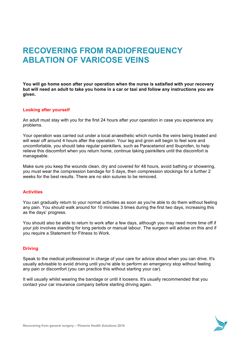# **RECOVERING FROM RADIOFREQUENCY ABLATION OF VARICOSE VEINS**

**You will go home soon after your operation when the nurse is satisfied with your recovery but will need an adult to take you home in a car or taxi and follow any instructions you are given.**

### **Looking after yourself**

An adult must stay with you for the first 24 hours after your operation in case you experience any problems.

Your operation was carried out under a local anaesthetic which numbs the veins being treated and will wear off around 4 hours after the operation. Your leg and groin will begin to feel sore and uncomfortable, you should take regular painkillers, such as Paracetamol and Ibuprofen, to help relieve this discomfort when you return home, continue taking painkillers until the discomfort is manageable.

Make sure you keep the wounds clean, dry and covered for 48 hours, avoid bathing or showering, you must wear the compression bandage for 5 days, then compression stockings for a further 2 weeks for the best results. There are no skin sutures to be removed.

### **Activities**

You can gradually return to your normal activities as soon as you're able to do them without feeling any pain. You should walk around for 10 minutes 3 times during the first two days, increasing this as the days' progress.

You should also be able to return to work after a few days, although you may need more time off if your job involves standing for long periods or manual labour. The surgeon will advise on this and if you require a Statement for Fitness to Work.

### **Driving**

Speak to the medical professional in charge of your care for advice about when you can drive. It's usually advisable to avoid driving until you're able to perform an emergency stop without feeling any pain or discomfort (you can practice this without starting your car).

It will usually whilst wearing the bandage or until it loosens. It's usually recommended that you contact your car insurance company before starting driving again.